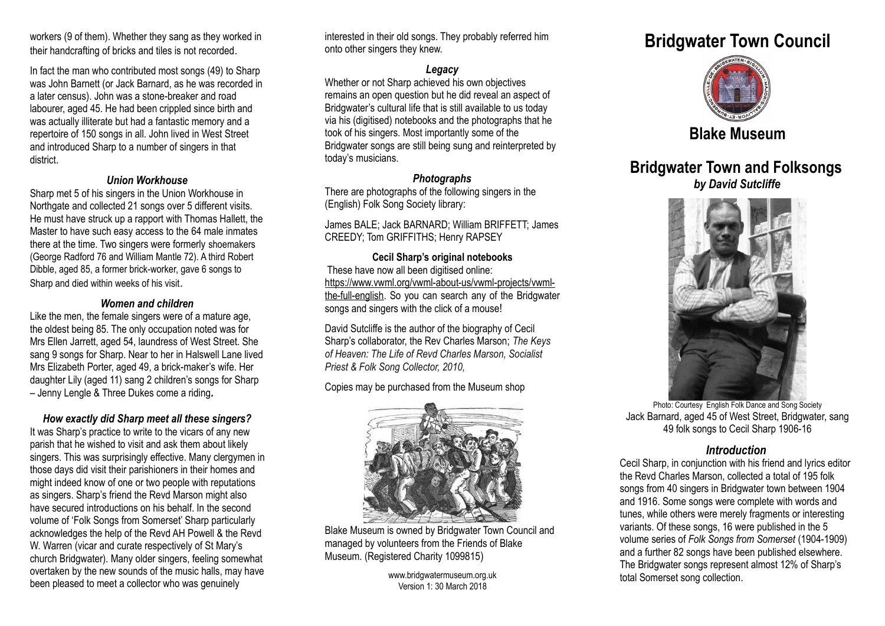workers (9 of them). Whether they sang as they worked in their handcrafting of bricks and tiles is not recorded.

In fact the man who contributed most songs (49) to Sharp was John Barnett (or Jack Barnard, as he was recorded in a later census). John was a stone-breaker and road labourer, aged 45. He had been crippled since birth and was actually illiterate but had a fantastic memory and a repertoire of 150 songs in all. John lived in West Street and introduced Sharp to a number of singers in that district.

# *Union Workhouse*

Sharp met 5 of his singers in the Union Workhouse in Northgate and collected 21 songs over 5 different visits. He must have struck up a rapport with Thomas Hallett, the Master to have such easy access to the 64 male inmates there at the time. Two singers were formerly shoemakers (George Radford 76 and William Mantle 72). A third Robert Dibble, aged 85, a former brick-worker, gave 6 songs to Sharp and died within weeks of his visit.

### *Women and children*

Like the men, the female singers were of a mature age, the oldest being 85. The only occupation noted was for Mrs Ellen Jarrett, aged 54, laundress of West Street. She sang 9 songs for Sharp. Near to her in Halswell Lane lived Mrs Elizabeth Porter, aged 49, a brick-maker's wife. Her daughter Lily (aged 11) sang 2 children's songs for Sharp – Jenny Lengle & Three Dukes come a riding*.*

### *How exactly did Sharp meet all these singers?*

It was Sharp's practice to write to the vicars of any new parish that he wished to visit and ask them about likely singers. This was surprisingly effective. Many clergymen in those days did visit their parishioners in their homes and might indeed know of one or two people with reputations as singers. Sharp's friend the Revd Marson might also have secured introductions on his behalf. In the second volume of 'Folk Songs from Somerset' Sharp particularly acknowledges the help of the Revd AH Powell & the Revd W. Warren (vicar and curate respectively of St Mary's church Bridgwater). Many older singers, feeling somewhat overtaken by the new sounds of the music halls, may have been pleased to meet a collector who was genuinely

interested in their old songs. They probably referred him onto other singers they knew.

### *Legacy*

Whether or not Sharp achieved his own objectives remains an open question but he did reveal an aspect of Bridgwater's cultural life that is still available to us today via his (digitised) notebooks and the photographs that he took of his singers. Most importantly some of the Bridgwater songs are still being sung and reinterpreted by today's musicians.

### *Photographs*

There are photographs of the following singers in the (English) Folk Song Society library:

James BALE; Jack BARNARD; William BRIFFETT; James CREEDY; Tom GRIFFITHS; Henry RAPSEY

### **Cecil Sharp's original notebooks** These have now all been digitised online: https://www.vwml.org/vwml-about-us/vwml-projects/vwml[the-full-english.](https://www.vwml.org/vwml-about-us/vwml-projects/vwml-the-full-english) So you can search any of the Bridgwater songs and singers with the click of a mouse!

David Sutcliffe is the author of the biography of Cecil Sharp's collaborator, the Rev Charles Marson; *The Keys of Heaven: The Life of Revd Charles Marson, Socialist Priest & Folk Song Collector, 2010,*

# Copies may be purchased from the Museum shop



Blake Museum is owned by Bridgwater Town Council and managed by volunteers from the Friends of Blake Museum. (Registered Charity 1099815)

> www.bridgwatermuseum.org.uk Version 1: 30 March 2018

# **Bridgwater Town Council**



# **Blake Museum**

# **Bridgwater Town and Folksongs** *by David Sutcliffe*



Photo: Courtesy English Folk Dance and Song Society Jack Barnard, aged 45 of West Street, Bridgwater, sang 49 folk songs to Cecil Sharp 1906-16

# *Introduction*

Cecil Sharp, in conjunction with his friend and lyrics editor the Revd Charles Marson, collected a total of 195 folk songs from 40 singers in Bridgwater town between 1904 and 1916. Some songs were complete with words and tunes, while others were merely fragments or interesting variants. Of these songs, 16 were published in the 5 volume series of *Folk Songs from Somerset* (1904-1909) and a further 82 songs have been published elsewhere. The Bridgwater songs represent almost 12% of Sharp's total Somerset song collection.